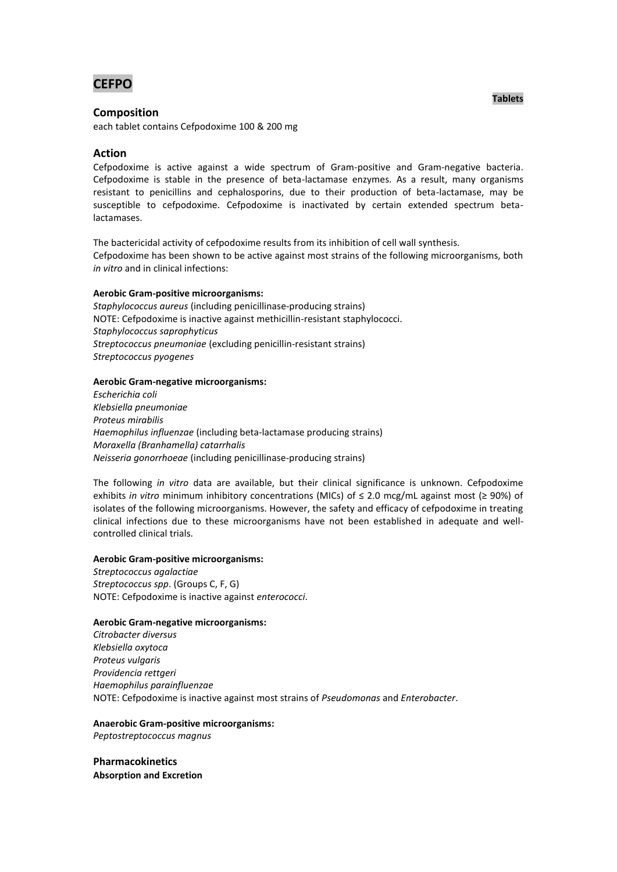**CEFPO**

# **Composition**

each tablet contains Cefpodoxime 100 & 200 mg

## **Action**

Cefpodoxime is active against a wide spectrum of Gram-positive and Gram-negative bacteria. Cefpodoxime is stable in the presence of beta-lactamase enzymes. As a result, many organisms resistant to penicillins and cephalosporins, due to their production of beta-lactamase, may be susceptible to cefpodoxime. Cefpodoxime is inactivated by certain extended spectrum betalactamases.

The bactericidal activity of cefpodoxime results from its inhibition of cell wall synthesis. Cefpodoxime has been shown to be active against most strains of the following microorganisms, both *in vitro* and in clinical infections:

#### **Aerobic Gram-positive microorganisms:**

*Staphylococcus aureus* (including penicillinase-producing strains) NOTE: Cefpodoxime is inactive against methicillin-resistant staphylococci. *Staphylococcus saprophyticus Streptococcus pneumoniae* (excluding penicillin-resistant strains) *Streptococcus pyogenes*

#### **Aerobic Gram-negative microorganisms:**

*Escherichia coli Klebsiella pneumoniae Proteus mirabilis Haemophilus influenzae* (including beta-lactamase producing strains) *Moraxella (Branhamella) catarrhalis Neisseria gonorrhoeae* (including penicillinase-producing strains)

The following *in vitro* data are available, but their clinical significance is unknown. Cefpodoxime exhibits *in vitro* minimum inhibitory concentrations (MICs) of ≤ 2.0 mcg/mL against most (≥ 90%) of isolates of the following microorganisms. However, the safety and efficacy of cefpodoxime in treating clinical infections due to these microorganisms have not been established in adequate and wellcontrolled clinical trials.

#### **Aerobic Gram-positive microorganisms:**

*Streptococcus agalactiae Streptococcus spp*. (Groups C, F, G) NOTE: Cefpodoxime is inactive against *enterococci*.

#### **Aerobic Gram-negative microorganisms:**

*Citrobacter diversus Klebsiella oxytoca Proteus vulgaris Providencia rettgeri Haemophilus parainfluenzae* NOTE: Cefpodoxime is inactive against most strains of *Pseudomonas* and *Enterobacter*.

#### **Anaerobic Gram-positive microorganisms:**

*Peptostreptococcus magnus*

**Pharmacokinetics Absorption and Excretion**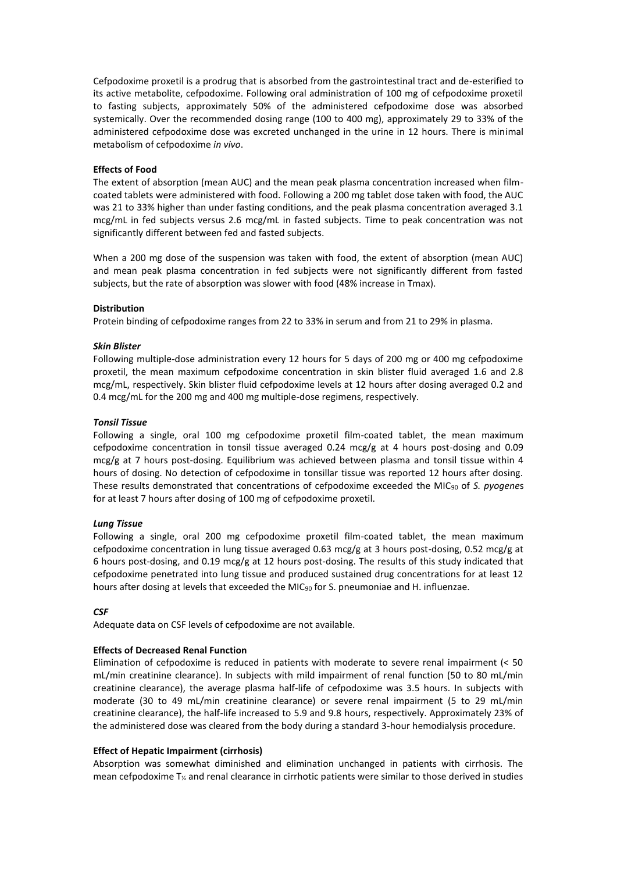Cefpodoxime proxetil is a prodrug that is absorbed from the gastrointestinal tract and de-esterified to its active metabolite, cefpodoxime. Following oral administration of 100 mg of cefpodoxime proxetil to fasting subjects, approximately 50% of the administered cefpodoxime dose was absorbed systemically. Over the recommended dosing range (100 to 400 mg), approximately 29 to 33% of the administered cefpodoxime dose was excreted unchanged in the urine in 12 hours. There is minimal metabolism of cefpodoxime *in vivo*.

## **Effects of Food**

The extent of absorption (mean AUC) and the mean peak plasma concentration increased when filmcoated tablets were administered with food. Following a 200 mg tablet dose taken with food, the AUC was 21 to 33% higher than under fasting conditions, and the peak plasma concentration averaged 3.1 mcg/mL in fed subjects versus 2.6 mcg/mL in fasted subjects. Time to peak concentration was not significantly different between fed and fasted subjects.

When a 200 mg dose of the suspension was taken with food, the extent of absorption (mean AUC) and mean peak plasma concentration in fed subjects were not significantly different from fasted subjects, but the rate of absorption was slower with food (48% increase in Tmax).

## **Distribution**

Protein binding of cefpodoxime ranges from 22 to 33% in serum and from 21 to 29% in plasma.

#### *Skin Blister*

Following multiple-dose administration every 12 hours for 5 days of 200 mg or 400 mg cefpodoxime proxetil, the mean maximum cefpodoxime concentration in skin blister fluid averaged 1.6 and 2.8 mcg/mL, respectively. Skin blister fluid cefpodoxime levels at 12 hours after dosing averaged 0.2 and 0.4 mcg/mL for the 200 mg and 400 mg multiple-dose regimens, respectively.

#### *Tonsil Tissue*

Following a single, oral 100 mg cefpodoxime proxetil film-coated tablet, the mean maximum cefpodoxime concentration in tonsil tissue averaged  $0.24 \text{ mcg/g}$  at 4 hours post-dosing and 0.09 mcg/g at 7 hours post-dosing. Equilibrium was achieved between plasma and tonsil tissue within 4 hours of dosing. No detection of cefpodoxime in tonsillar tissue was reported 12 hours after dosing. These results demonstrated that concentrations of cefpodoxime exceeded the MIC<sup>90</sup> of *S. pyogene*s for at least 7 hours after dosing of 100 mg of cefpodoxime proxetil.

#### *Lung Tissue*

Following a single, oral 200 mg cefpodoxime proxetil film-coated tablet, the mean maximum cefpodoxime concentration in lung tissue averaged 0.63 mcg/g at 3 hours post-dosing, 0.52 mcg/g at 6 hours post-dosing, and 0.19 mcg/g at 12 hours post-dosing. The results of this study indicated that cefpodoxime penetrated into lung tissue and produced sustained drug concentrations for at least 12 hours after dosing at levels that exceeded the MIC<sub>90</sub> for S. pneumoniae and H. influenzae.

#### *CSF*

Adequate data on CSF levels of cefpodoxime are not available.

# **Effects of Decreased Renal Function**

Elimination of cefpodoxime is reduced in patients with moderate to severe renal impairment (< 50 mL/min creatinine clearance). In subjects with mild impairment of renal function (50 to 80 mL/min creatinine clearance), the average plasma half-life of cefpodoxime was 3.5 hours. In subjects with moderate (30 to 49 mL/min creatinine clearance) or severe renal impairment (5 to 29 mL/min creatinine clearance), the half-life increased to 5.9 and 9.8 hours, respectively. Approximately 23% of the administered dose was cleared from the body during a standard 3-hour hemodialysis procedure.

# **Effect of Hepatic Impairment (cirrhosis)**

Absorption was somewhat diminished and elimination unchanged in patients with cirrhosis. The mean cefpodoxime T<sup>½</sup> and renal clearance in cirrhotic patients were similar to those derived in studies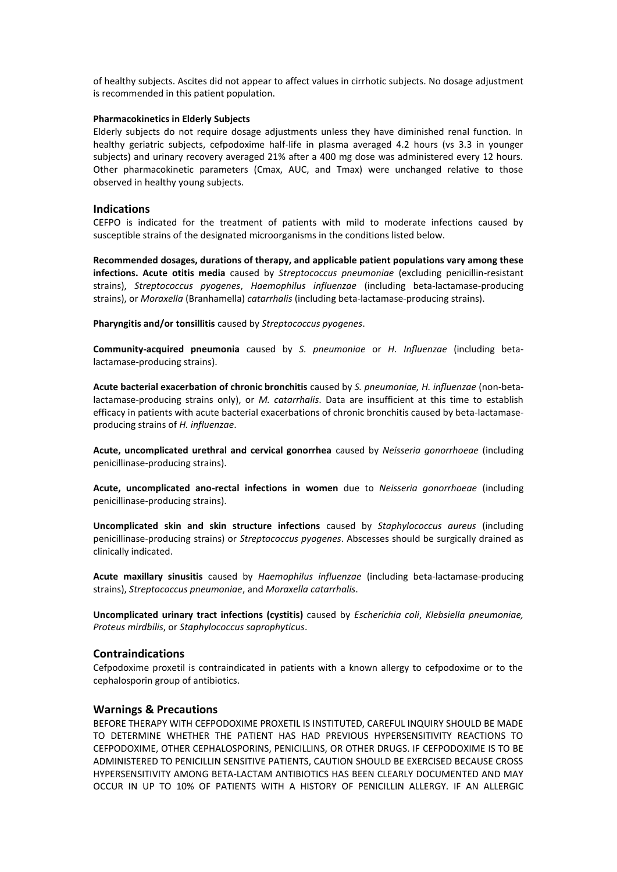of healthy subjects. Ascites did not appear to affect values in cirrhotic subjects. No dosage adjustment is recommended in this patient population.

### **Pharmacokinetics in Elderly Subjects**

Elderly subjects do not require dosage adjustments unless they have diminished renal function. In healthy geriatric subjects, cefpodoxime half-life in plasma averaged 4.2 hours (vs 3.3 in younger subjects) and urinary recovery averaged 21% after a 400 mg dose was administered every 12 hours. Other pharmacokinetic parameters (Cmax, AUC, and Tmax) were unchanged relative to those observed in healthy young subjects.

#### **Indications**

CEFPO is indicated for the treatment of patients with mild to moderate infections caused by susceptible strains of the designated microorganisms in the conditions listed below.

**Recommended dosages, durations of therapy, and applicable patient populations vary among these infections. Acute otitis media** caused by *Streptococcus pneumoniae* (excluding penicillin-resistant strains), *Streptococcus pyogenes*, *Haemophilus influenzae* (including beta-lactamase-producing strains), or *Moraxella* (Branhamella) *catarrhalis* (including beta-lactamase-producing strains).

**Pharyngitis and/or tonsillitis** caused by *Streptococcus pyogenes*.

**Community-acquired pneumonia** caused by *S. pneumoniae* or *H. Influenzae* (including betalactamase-producing strains).

**Acute bacterial exacerbation of chronic bronchitis** caused by *S. pneumoniae, H. influenzae* (non-betalactamase-producing strains only), or *M. catarrhalis*. Data are insufficient at this time to establish efficacy in patients with acute bacterial exacerbations of chronic bronchitis caused by beta-lactamaseproducing strains of *H. influenzae*.

**Acute, uncomplicated urethral and cervical gonorrhea** caused by *Neisseria gonorrhoeae* (including penicillinase-producing strains).

**Acute, uncomplicated ano-rectal infections in women** due to *Neisseria gonorrhoeae* (including penicillinase-producing strains).

**Uncomplicated skin and skin structure infections** caused by *Staphylococcus aureus* (including penicillinase-producing strains) or *Streptococcus pyogenes*. Abscesses should be surgically drained as clinically indicated.

**Acute maxillary sinusitis** caused by *Haemophilus influenzae* (including beta-lactamase-producing strains), *Streptococcus pneumoniae*, and *Moraxella catarrhalis*.

**Uncomplicated urinary tract infections (cystitis)** caused by *Escherichia coli*, *Klebsiella pneumoniae, Proteus mirdbilis*, or *Staphylococcus saprophyticus*.

## **Contraindications**

Cefpodoxime proxetil is contraindicated in patients with a known allergy to cefpodoxime or to the cephalosporin group of antibiotics.

# **Warnings & Precautions**

BEFORE THERAPY WITH CEFPODOXIME PROXETIL IS INSTITUTED, CAREFUL INQUIRY SHOULD BE MADE TO DETERMINE WHETHER THE PATIENT HAS HAD PREVIOUS HYPERSENSITIVITY REACTIONS TO CEFPODOXIME, OTHER CEPHALOSPORINS, PENICILLINS, OR OTHER DRUGS. IF CEFPODOXIME IS TO BE ADMINISTERED TO PENICILLIN SENSITIVE PATIENTS, CAUTION SHOULD BE EXERCISED BECAUSE CROSS HYPERSENSITIVITY AMONG BETA-LACTAM ANTIBIOTICS HAS BEEN CLEARLY DOCUMENTED AND MAY OCCUR IN UP TO 10% OF PATIENTS WITH A HISTORY OF PENICILLIN ALLERGY. IF AN ALLERGIC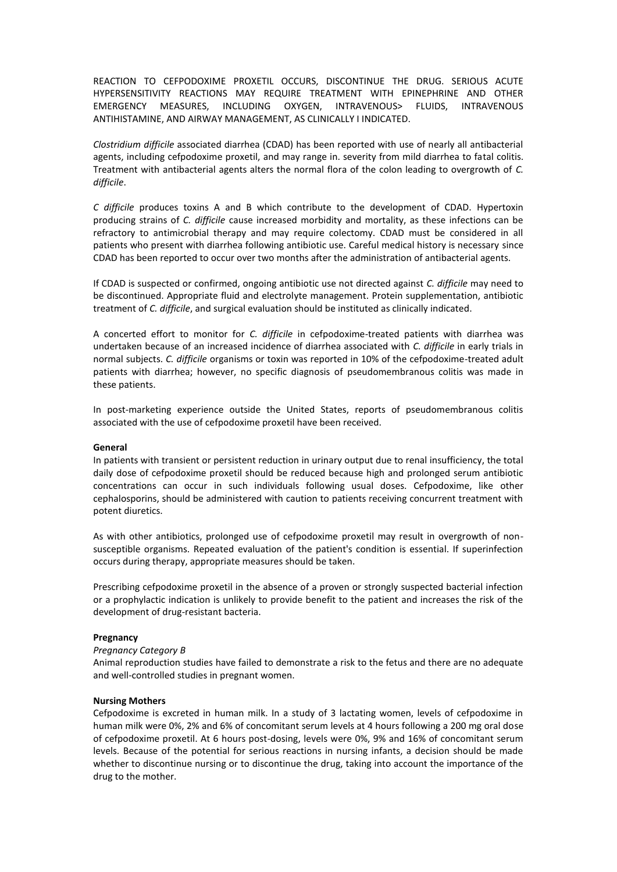REACTION TO CEFPODOXIME PROXETIL OCCURS, DISCONTINUE THE DRUG. SERIOUS ACUTE HYPERSENSITIVITY REACTIONS MAY REQUIRE TREATMENT WITH EPINEPHRINE AND OTHER EMERGENCY MEASURES, INCLUDING OXYGEN, INTRAVENOUS> FLUIDS, INTRAVENOUS ANTIHISTAMINE, AND AIRWAY MANAGEMENT, AS CLINICALLY I INDICATED.

*Clostridium difficile* associated diarrhea (CDAD) has been reported with use of nearly all antibacterial agents, including cefpodoxime proxetil, and may range in. severity from mild diarrhea to fatal colitis. Treatment with antibacterial agents alters the normal flora of the colon leading to overgrowth of *C. difficile*.

*C difficile* produces toxins A and B which contribute to the development of CDAD. Hypertoxin producing strains of *C. difficile* cause increased morbidity and mortality, as these infections can be refractory to antimicrobial therapy and may require colectomy. CDAD must be considered in all patients who present with diarrhea following antibiotic use. Careful medical history is necessary since CDAD has been reported to occur over two months after the administration of antibacterial agents.

If CDAD is suspected or confirmed, ongoing antibiotic use not directed against *C. difficile* may need to be discontinued. Appropriate fluid and electrolyte management. Protein supplementation, antibiotic treatment of *C. difficile*, and surgical evaluation should be instituted as clinically indicated.

A concerted effort to monitor for *C. difficile* in cefpodoxime-treated patients with diarrhea was undertaken because of an increased incidence of diarrhea associated with *C. difficile* in early trials in normal subjects. *C. difficile* organisms or toxin was reported in 10% of the cefpodoxime-treated adult patients with diarrhea; however, no specific diagnosis of pseudomembranous colitis was made in these patients.

In post-marketing experience outside the United States, reports of pseudomembranous colitis associated with the use of cefpodoxime proxetil have been received.

#### **General**

In patients with transient or persistent reduction in urinary output due to renal insufficiency, the total daily dose of cefpodoxime proxetil should be reduced because high and prolonged serum antibiotic concentrations can occur in such individuals following usual doses. Cefpodoxime, like other cephalosporins, should be administered with caution to patients receiving concurrent treatment with potent diuretics.

As with other antibiotics, prolonged use of cefpodoxime proxetil may result in overgrowth of nonsusceptible organisms. Repeated evaluation of the patient's condition is essential. If superinfection occurs during therapy, appropriate measures should be taken.

Prescribing cefpodoxime proxetil in the absence of a proven or strongly suspected bacterial infection or a prophylactic indication is unlikely to provide benefit to the patient and increases the risk of the development of drug-resistant bacteria.

#### **Pregnancy**

### *Pregnancy Category B*

Animal reproduction studies have failed to demonstrate a risk to the fetus and there are no adequate and well-controlled studies in pregnant women.

#### **Nursing Mothers**

Cefpodoxime is excreted in human milk. In a study of 3 lactating women, levels of cefpodoxime in human milk were 0%, 2% and 6% of concomitant serum levels at 4 hours following a 200 mg oral dose of cefpodoxime proxetil. At 6 hours post-dosing, levels were 0%, 9% and 16% of concomitant serum levels. Because of the potential for serious reactions in nursing infants, a decision should be made whether to discontinue nursing or to discontinue the drug, taking into account the importance of the drug to the mother.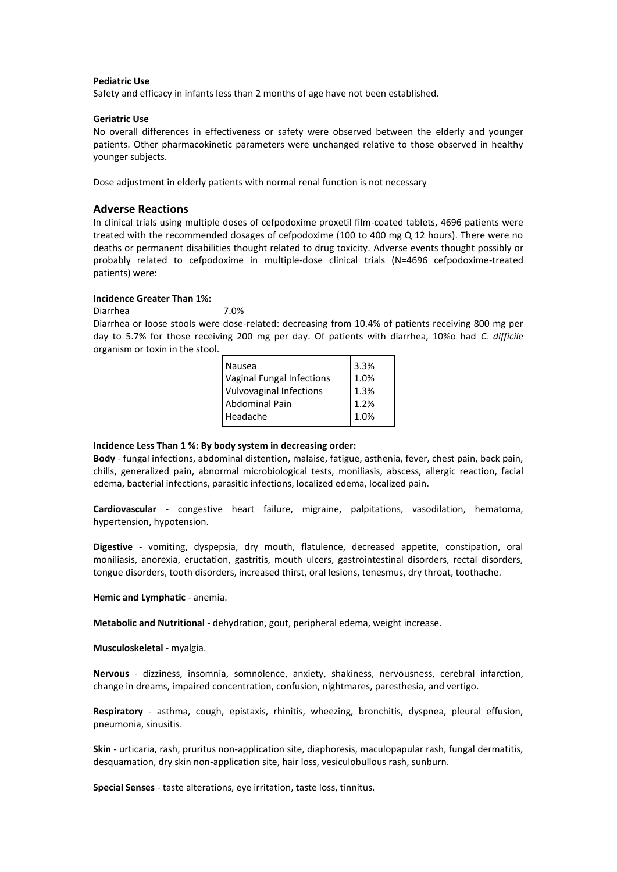#### **Pediatric Use**

Safety and efficacy in infants less than 2 months of age have not been established.

#### **Geriatric Use**

No overall differences in effectiveness or safety were observed between the elderly and younger patients. Other pharmacokinetic parameters were unchanged relative to those observed in healthy younger subjects.

Dose adjustment in elderly patients with normal renal function is not necessary

### **Adverse Reactions**

In clinical trials using multiple doses of cefpodoxime proxetil film-coated tablets, 4696 patients were treated with the recommended dosages of cefpodoxime (100 to 400 mg Q 12 hours). There were no deaths or permanent disabilities thought related to drug toxicity. Adverse events thought possibly or probably related to cefpodoxime in multiple-dose clinical trials (N=4696 cefpodoxime-treated patients) were:

# **Incidence Greater Than 1%:**

Diarrhea 7.0% Diarrhea or loose stools were dose-related: decreasing from 10.4% of patients receiving 800 mg per day to 5.7% for those receiving 200 mg per day. Of patients with diarrhea, 10%o had *C. difficile* organism or toxin in the stool.

| Nausea                           | 3.3% |
|----------------------------------|------|
| <b>Vaginal Fungal Infections</b> | 1.0% |
| <b>Vulvovaginal Infections</b>   | 1.3% |
| <b>Abdominal Pain</b>            | 1.2% |
| Headache                         | 1.0% |
|                                  |      |

#### **Incidence Less Than 1 %: By body system in decreasing order:**

**Body** - fungal infections, abdominal distention, malaise, fatigue, asthenia, fever, chest pain, back pain, chills, generalized pain, abnormal microbiological tests, moniliasis, abscess, allergic reaction, facial edema, bacterial infections, parasitic infections, localized edema, localized pain.

**Cardiovascular** - congestive heart failure, migraine, palpitations, vasodilation, hematoma, hypertension, hypotension.

**Digestive** - vomiting, dyspepsia, dry mouth, flatulence, decreased appetite, constipation, oral moniliasis, anorexia, eructation, gastritis, mouth ulcers, gastrointestinal disorders, rectal disorders, tongue disorders, tooth disorders, increased thirst, oral lesions, tenesmus, dry throat, toothache.

**Hemic and Lymphatic** - anemia.

**Metabolic and Nutritional** - dehydration, gout, peripheral edema, weight increase.

**Musculoskeletal** - myalgia.

**Nervous** - dizziness, insomnia, somnolence, anxiety, shakiness, nervousness, cerebral infarction, change in dreams, impaired concentration, confusion, nightmares, paresthesia, and vertigo.

**Respiratory** - asthma, cough, epistaxis, rhinitis, wheezing, bronchitis, dyspnea, pleural effusion, pneumonia, sinusitis.

**Skin** - urticaria, rash, pruritus non-application site, diaphoresis, maculopapular rash, fungal dermatitis, desquamation, dry skin non-application site, hair loss, vesiculobullous rash, sunburn.

**Special Senses** - taste alterations, eye irritation, taste loss, tinnitus.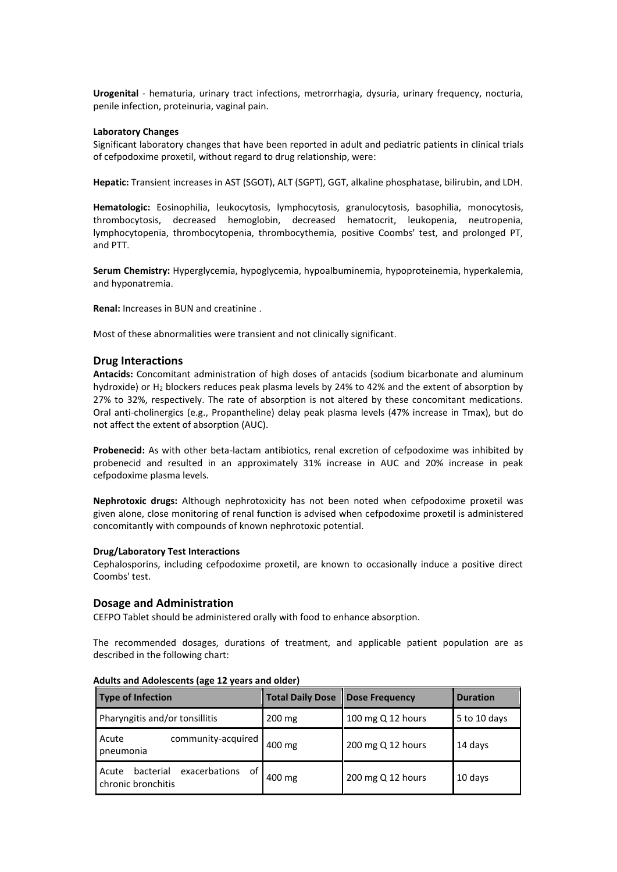**Urogenital** - hematuria, urinary tract infections, metrorrhagia, dysuria, urinary frequency, nocturia, penile infection, proteinuria, vaginal pain.

### **Laboratory Changes**

Significant laboratory changes that have been reported in adult and pediatric patients in clinical trials of cefpodoxime proxetil, without regard to drug relationship, were:

**Hepatic:** Transient increases in AST (SGOT), ALT (SGPT), GGT, alkaline phosphatase, bilirubin, and LDH.

**Hematologic:** Eosinophilia, leukocytosis, lymphocytosis, granulocytosis, basophilia, monocytosis, thrombocytosis, decreased hemoglobin, decreased hematocrit, leukopenia, neutropenia, lymphocytopenia, thrombocytopenia, thrombocythemia, positive Coombs' test, and prolonged PT, and PTT.

**Serum Chemistry:** Hyperglycemia, hypoglycemia, hypoalbuminemia, hypoproteinemia, hyperkalemia, and hyponatremia.

**Renal:** Increases in BUN and creatinine .

Most of these abnormalities were transient and not clinically significant.

# **Drug Interactions**

**Antacids:** Concomitant administration of high doses of antacids (sodium bicarbonate and aluminum hydroxide) or H<sup>2</sup> blockers reduces peak plasma levels by 24% to 42% and the extent of absorption by 27% to 32%, respectively. The rate of absorption is not altered by these concomitant medications. Oral anti-cholinergics (e.g., Propantheline) delay peak plasma levels (47% increase in Tmax), but do not affect the extent of absorption (AUC).

**Probenecid:** As with other beta-lactam antibiotics, renal excretion of cefpodoxime was inhibited by probenecid and resulted in an approximately 31% increase in AUC and 20% increase in peak cefpodoxime plasma levels.

**Nephrotoxic drugs:** Although nephrotoxicity has not been noted when cefpodoxime proxetil was given alone, close monitoring of renal function is advised when cefpodoxime proxetil is administered concomitantly with compounds of known nephrotoxic potential.

#### **Drug/Laboratory Test Interactions**

Cephalosporins, including cefpodoxime proxetil, are known to occasionally induce a positive direct Coombs' test.

# **Dosage and Administration**

CEFPO Tablet should be administered orally with food to enhance absorption.

The recommended dosages, durations of treatment, and applicable patient population are as described in the following chart:

| <b>Type of Infection</b>                                        | <b>Total Daily Dose</b> | <b>Dose Frequency</b> | <b>Duration</b> |
|-----------------------------------------------------------------|-------------------------|-----------------------|-----------------|
| Pharyngitis and/or tonsillitis                                  | $200 \text{ mg}$        | 100 mg Q 12 hours     | 5 to 10 days    |
| community-acquired<br>Acute<br>pneumonia                        | 400 mg                  | 200 mg Q 12 hours     | 14 days         |
| exacerbations<br>οf<br>bacterial<br>Acute<br>chronic bronchitis | 400 mg                  | 200 mg Q 12 hours     | 10 days         |

### **Adults and Adolescents (age 12 years and older)**